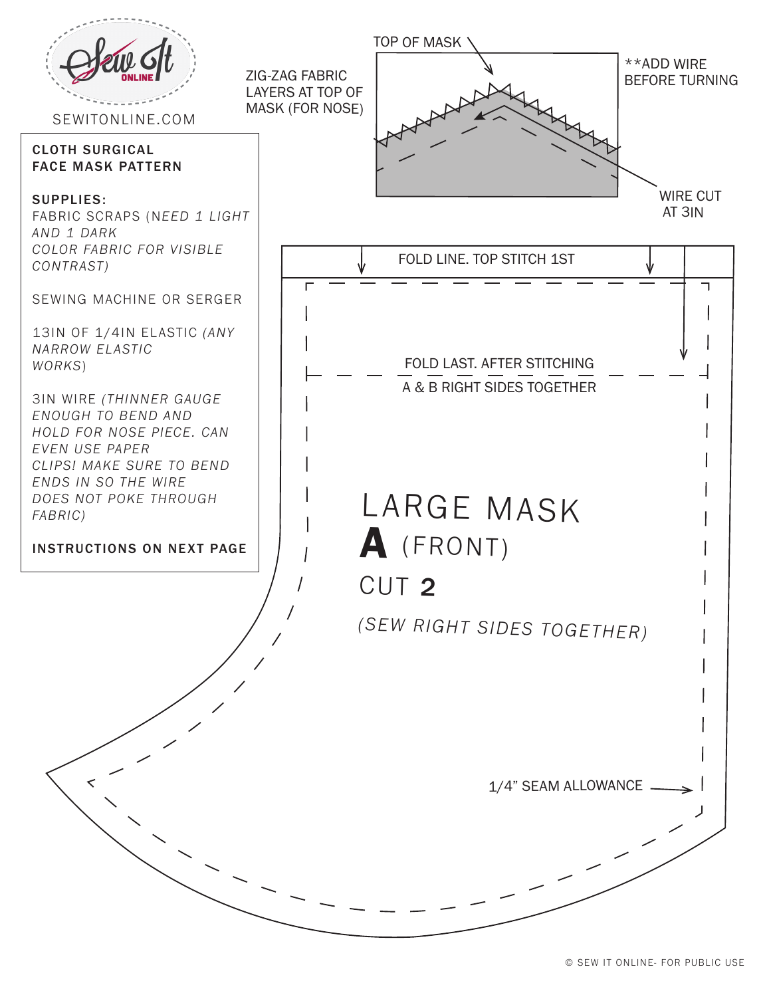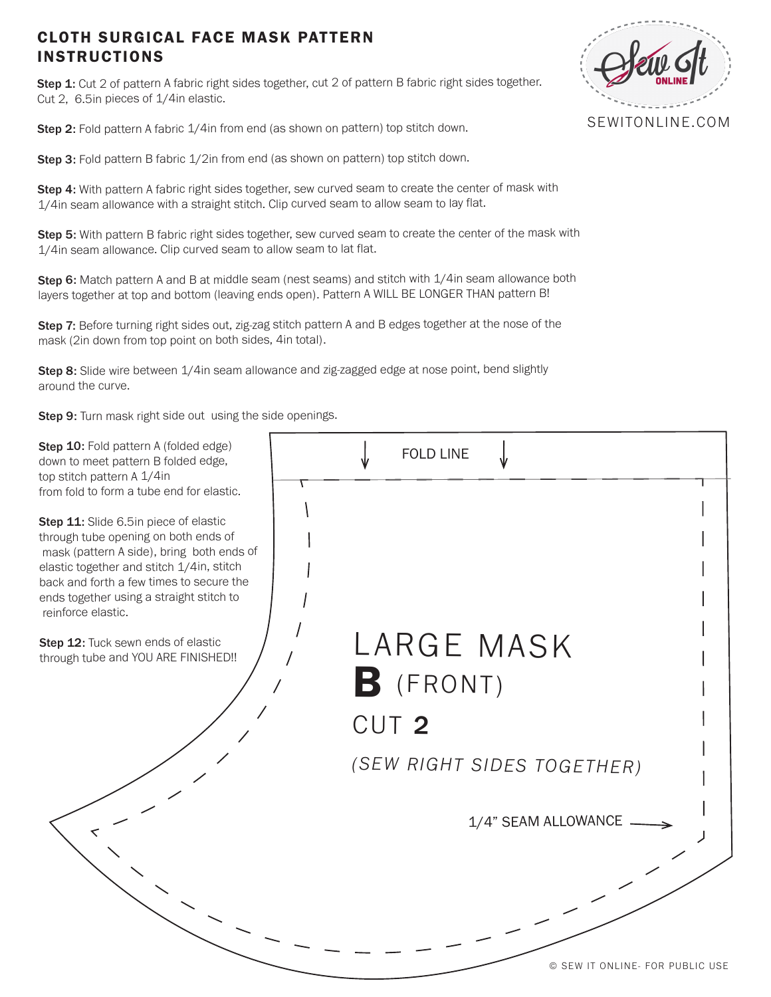## CLOTH SURGICAL FACE MASK PATTERN INSTRUCTIONS

Step 1: Cut 2 of pattern A fabric right sides together, cut 2 of pattern B fabric right sides together. Cut 2, 6.5in pieces of 1/4in elastic.

Step 2: Fold pattern A fabric 1/4in from end (as shown on pattern) top stitch down.

Step 3: Fold pattern B fabric 1/2in from end (as shown on pattern) top stitch down.

Step 4: With pattern A fabric right sides together, sew curved seam to create the center of mask with 1/4in seam allowance with a straight stitch. Clip curved seam to allow seam to lay flat.

Step 5: With pattern B fabric right sides together, sew curved seam to create the center of the mask with 1/4in seam allowance. Clip curved seam to allow seam to lat flat.

Step 6: Match pattern A and B at middle seam (nest seams) and stitch with 1/4in seam allowance both layers together at top and bottom (leaving ends open). Pattern A WILL BE LONGER THAN pattern B!

Step 7: Before turning right sides out, zig-zag stitch pattern A and B edges together at the nose of the mask (2in down from top point on both sides, 4in total).

Step 8: Slide wire between 1/4in seam allowance and zig-zagged edge at nose point, bend slightly around the curve.

Step 9: Turn mask right side out using the side openings.